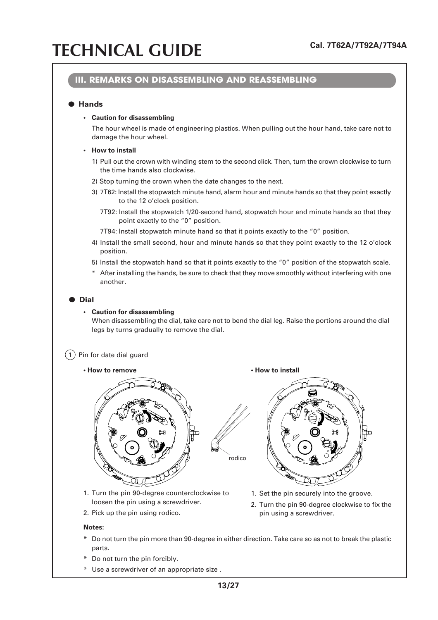### **III. REMARKS ON DISASSEMBLING AND REASSEMBLING**

### ● **Hands**

#### **• Caution for disassembling**

The hour wheel is made of engineering plastics. When pulling out the hour hand, take care not to damage the hour wheel.

#### **• How to install**

- 1) Pull out the crown with winding stem to the second click. Then, turn the crown clockwise to turn the time hands also clockwise.
- 2) Stop turning the crown when the date changes to the next.
- 3) 7T62: Install the stopwatch minute hand, alarm hour and minute hands so that they point exactly to the 12 o'clock position.
	- 7T92: Install the stopwatch 1/20-second hand, stopwatch hour and minute hands so that they point exactly to the "0" position.
	- 7T94: Install stopwatch minute hand so that it points exactly to the "0" position.
- 4) Install the small second, hour and minute hands so that they point exactly to the 12 o'clock position.
- 5) Install the stopwatch hand so that it points exactly to the "0" position of the stopwatch scale.
- \* After installing the hands, be sure to check that they move smoothly without interfering with one another.

#### ● **Dial**

#### **• Caution for disassembling**

When disassembling the dial, take care not to bend the dial leg. Raise the portions around the dial legs by turns gradually to remove the dial.

 $(1)$  Pin for date dial guard

• How to remove **• How to install** 



1. Turn the pin 90-degree counterclockwise to loosen the pin using a screwdriver.

2. Pick up the pin using rodico.

#### **Notes:**



- 1. Set the pin securely into the groove.
- 2. Turn the pin 90-degree clockwise to fix the pin using a screwdriver.
- \* Do not turn the pin more than 90-degree in either direction. Take care so as not to break the plastic parts.

rodico

- \* Do not turn the pin forcibly.
- \* Use a screwdriver of an appropriate size .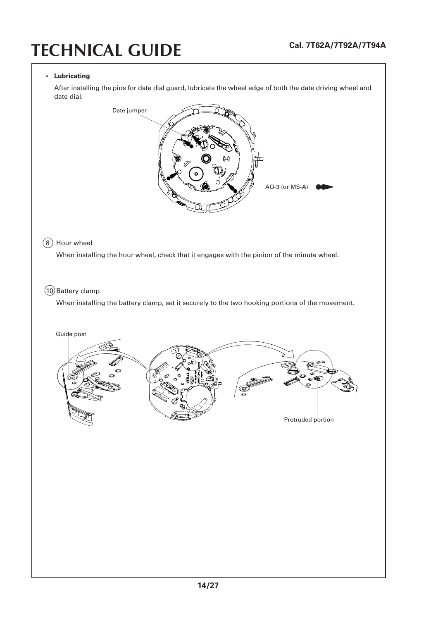#### **• Lubricating**

After installing the pins for date dial guard, lubricate the wheel edge of both the date driving wheel and date dial.

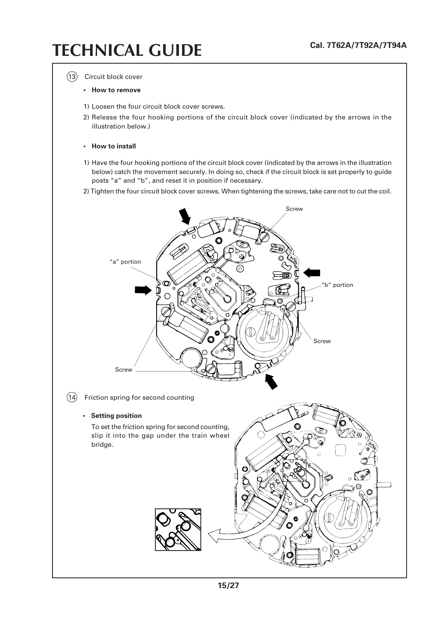(13) Circuit block cover

#### **• How to remove**

- 1) Loosen the four circuit block cover screws.
- 2) Release the four hooking portions of the circuit block cover (indicated by the arrows in the illustration below.)

#### **• How to install**

- 1) Have the four hooking portions of the circuit block cover (indicated by the arrows in the illustration below) catch the movement securely. In doing so, check if the circuit block is set properly to guide posts "a" and "b", and reset it in position if necessary.
- 2) Tighten the four circuit block cover screws. When tightening the screws, take care not to cut the coil.

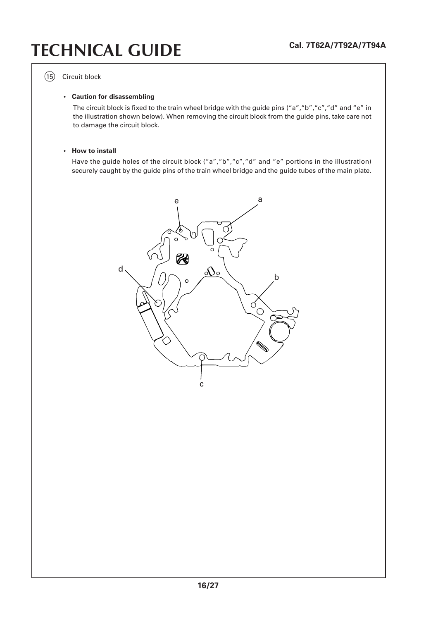(15) Circuit block

#### **• Caution for disassembling**

The circuit block is fixed to the train wheel bridge with the guide pins ("a","b","c","d" and "e" in the illustration shown below). When removing the circuit block from the guide pins, take care not to damage the circuit block.

#### **• How to install**

Have the guide holes of the circuit block ("a","b","c","d" and "e" portions in the illustration) securely caught by the guide pins of the train wheel bridge and the guide tubes of the main plate.

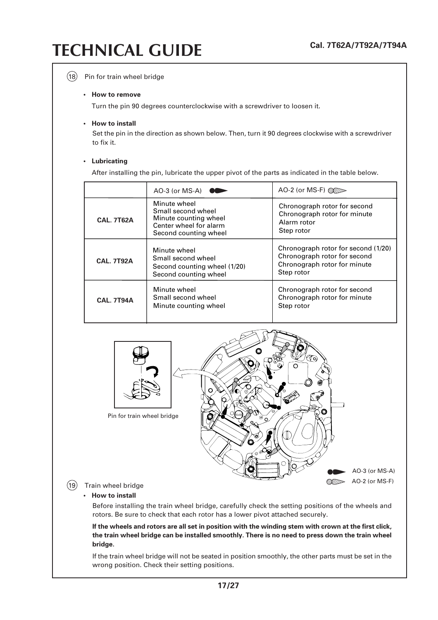#### $(18)$  Pin for train wheel bridge

#### **• How to remove**

Turn the pin 90 degrees counterclockwise with a screwdriver to loosen it.

#### **• How to install**

Set the pin in the direction as shown below. Then, turn it 90 degrees clockwise with a screwdriver to fix it.

#### **• Lubricating**

After installing the pin, lubricate the upper pivot of the parts as indicated in the table below.

|  |                   | AO-3 (or MS-A) $\bullet \bullet$                                                                               | AO-2 (or MS-F) $\mathbb{Q}$                                                                                       |
|--|-------------------|----------------------------------------------------------------------------------------------------------------|-------------------------------------------------------------------------------------------------------------------|
|  | <b>CAL. 7T62A</b> | Minute wheel<br>Small second wheel<br>Minute counting wheel<br>Center wheel for alarm<br>Second counting wheel | Chronograph rotor for second<br>Chronograph rotor for minute<br>Alarm rotor<br>Step rotor                         |
|  | <b>CAL. 7T92A</b> | Minute wheel<br>Small second wheel<br>Second counting wheel (1/20)<br>Second counting wheel                    | Chronograph rotor for second (1/20)<br>Chronograph rotor for second<br>Chronograph rotor for minute<br>Step rotor |
|  | <b>CAL. 7T94A</b> | Minute wheel<br>Small second wheel<br>Minute counting wheel                                                    | Chronograph rotor for second<br>Chronograph rotor for minute<br>Step rotor                                        |



### **• How to install**

Before installing the train wheel bridge, carefully check the setting positions of the wheels and rotors. Be sure to check that each rotor has a lower pivot attached securely.

**If the wheels and rotors are all set in position with the winding stem with crown at the first click, the train wheel bridge can be installed smoothly. There is no need to press down the train wheel bridge.**

If the train wheel bridge will not be seated in position smoothly, the other parts must be set in the wrong position. Check their setting positions.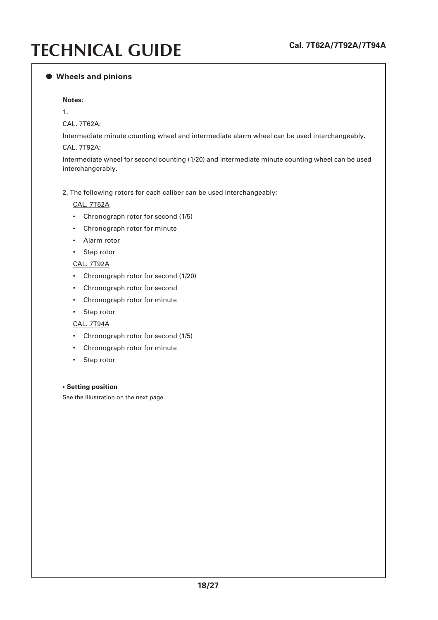#### ● **Wheels and pinions**

#### **Notes:**

1.

CAL. 7T62A:

Intermediate minute counting wheel and intermediate alarm wheel can be used interchangeably.

#### CAL. 7T92A:

Intermediate wheel for second counting (1/20) and intermediate minute counting wheel can be used interchangerably.

#### 2. The following rotors for each caliber can be used interchangeably:

#### CAL. 7T62A

- Chronograph rotor for second (1/5)
- Chronograph rotor for minute
- Alarm rotor
- Step rotor

#### CAL. 7T92A

- Chronograph rotor for second (1/20)
- Chronograph rotor for second
- Chronograph rotor for minute
- Step rotor

#### CAL. 7T94A

- Chronograph rotor for second (1/5)
- Chronograph rotor for minute
- Step rotor

#### **• Setting position**

See the illustration on the next page.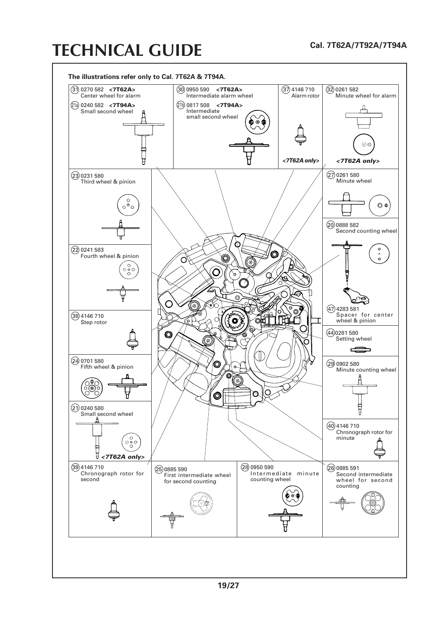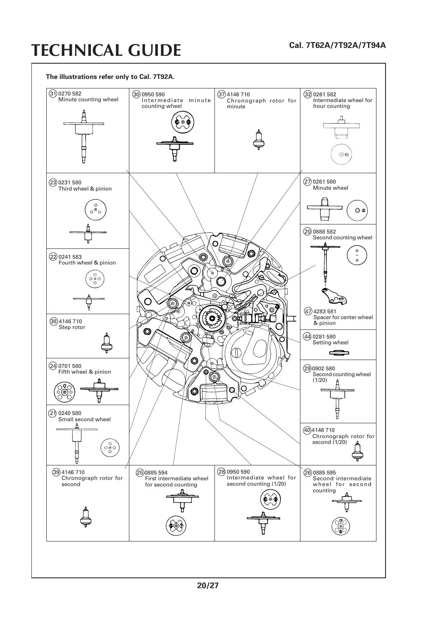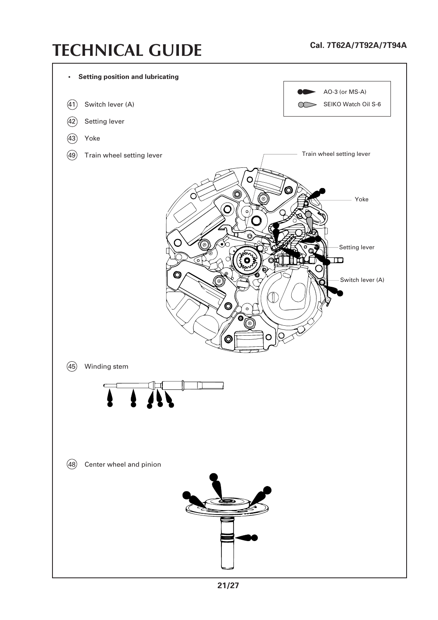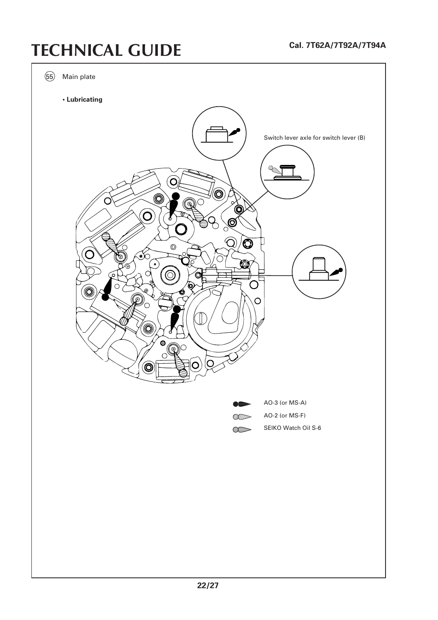55 Main plate **• Lubricating** Switch lever axle for switch lever (B)Ć O (C Q  $\circledcirc$ Ô  $\bullet$ Ó AO-3 (or MS-A) AO-2 (or MS-F) WITTD SEIKO Watch Oil S-6  $\infty$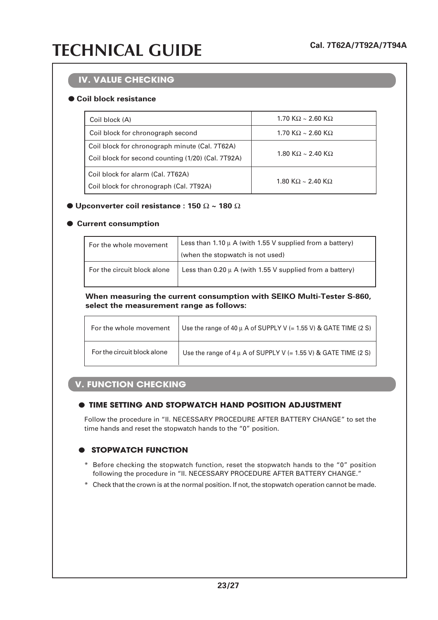### **IV. VALUE CHECKING**

### ● **Coil block resistance**

| Coil block (A)                                                                                       | 1.70 K $\Omega \sim$ 2.60 K $\Omega$ |  |
|------------------------------------------------------------------------------------------------------|--------------------------------------|--|
| Coil block for chronograph second                                                                    | 1.70 K $\Omega \sim$ 2.60 K $\Omega$ |  |
| Coil block for chronograph minute (Cal. 7T62A)<br>Coil block for second counting (1/20) (Cal. 7T92A) | 1.80 K $\Omega \sim 2.40$ K $\Omega$ |  |
| Coil block for alarm (Cal. 7T62A)<br>Coil block for chronograph (Cal. 7T92A)                         | 1.80 K $\Omega \sim$ 2.40 K $\Omega$ |  |

### $\bullet$  Upconverter coil resistance : 150  $\Omega \sim 180 \Omega$

### ● **Current consumption**

| For the whole movement      | Less than 1.10 $\mu$ A (with 1.55 V supplied from a battery) |  |
|-----------------------------|--------------------------------------------------------------|--|
|                             | (when the stopwatch is not used)                             |  |
| For the circuit block alone | Less than $0.20 \mu$ A (with 1.55 V supplied from a battery) |  |

**When measuring the current consumption with SEIKO Multi-Tester S-860, select the measurement range as follows:**

| For the whole movement      | Use the range of 40 $\mu$ A of SUPPLY V (= 1.55 V) & GATE TIME (2 S) |  |
|-----------------------------|----------------------------------------------------------------------|--|
| For the circuit block alone | Use the range of $4 \mu$ A of SUPPLY V (= 1.55 V) & GATE TIME (2 S)  |  |

### **V. FUNCTION CHECKING**

### ● **TIME SETTING AND STOPWATCH HAND POSITION ADJUSTMENT**

Follow the procedure in "II. NECESSARY PROCEDURE AFTER BATTERY CHANGE" to set the time hands and reset the stopwatch hands to the "0" position.

### **B** STOPWATCH FUNCTION

- \* Before checking the stopwatch function, reset the stopwatch hands to the "0" position following the procedure in "II. NECESSARY PROCEDURE AFTER BATTERY CHANGE."
- \* Check that the crown is at the normal position. If not, the stopwatch operation cannot be made.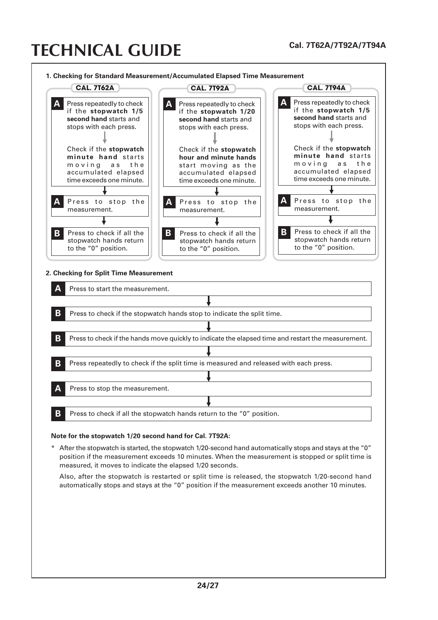

#### **Note for the stopwatch 1/20 second hand for Cal. 7T92A:**

\* After the stopwatch is started, the stopwatch 1/20-second hand automatically stops and stays at the "0" position if the measurement exceeds 10 minutes. When the measurement is stopped or split time is measured, it moves to indicate the elapsed 1/20 seconds.

Also, after the stopwatch is restarted or split time is released, the stopwatch 1/20-second hand automatically stops and stays at the "0" position if the measurement exceeds another 10 minutes.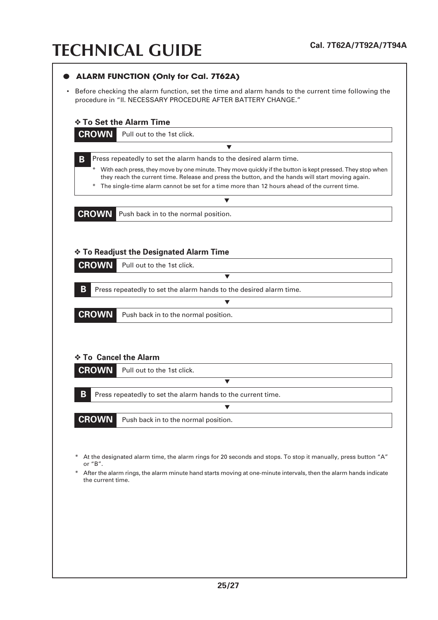| <b>ALARM FUNCTION (Only for Cal. 7T62A)</b>                                                                                                                                                                                                                                                                                |
|----------------------------------------------------------------------------------------------------------------------------------------------------------------------------------------------------------------------------------------------------------------------------------------------------------------------------|
| Before checking the alarm function, set the time and alarm hands to the current time following the<br>procedure in "II. NECESSARY PROCEDURE AFTER BATTERY CHANGE."                                                                                                                                                         |
| <b>Io Set the Alarm Time</b>                                                                                                                                                                                                                                                                                               |
| <b>CROWN</b><br>Pull out to the 1st click.                                                                                                                                                                                                                                                                                 |
| ▼                                                                                                                                                                                                                                                                                                                          |
| B<br>Press repeatedly to set the alarm hands to the desired alarm time.                                                                                                                                                                                                                                                    |
| * With each press, they move by one minute. They move quickly if the button is kept pressed. They stop when<br>they reach the current time. Release and press the button, and the hands will start moving again.<br>The single-time alarm cannot be set for a time more than 12 hours ahead of the current time.<br>$\ast$ |
| $\blacktriangledown$                                                                                                                                                                                                                                                                                                       |
| <b>CROWN</b> Push back in to the normal position.                                                                                                                                                                                                                                                                          |
| ❖ To Readjust the Designated Alarm Time<br><b>CROWN</b><br>Pull out to the 1st click.                                                                                                                                                                                                                                      |
| $\blacktriangledown$                                                                                                                                                                                                                                                                                                       |
| B<br>Press repeatedly to set the alarm hands to the desired alarm time.                                                                                                                                                                                                                                                    |
|                                                                                                                                                                                                                                                                                                                            |
| <b>CROWN</b><br>Push back in to the normal position.                                                                                                                                                                                                                                                                       |
|                                                                                                                                                                                                                                                                                                                            |
|                                                                                                                                                                                                                                                                                                                            |
| ❖ To Cancel the Alarm                                                                                                                                                                                                                                                                                                      |
| <b>CROWN</b><br>Pull out to the 1st click.                                                                                                                                                                                                                                                                                 |
| $\blacktriangledown$                                                                                                                                                                                                                                                                                                       |
| В<br>Press repeatedly to set the alarm hands to the current time.                                                                                                                                                                                                                                                          |
| $\blacktriangledown$                                                                                                                                                                                                                                                                                                       |
| <b>CROWN</b><br>Push back in to the normal position.                                                                                                                                                                                                                                                                       |
|                                                                                                                                                                                                                                                                                                                            |
|                                                                                                                                                                                                                                                                                                                            |
| At the designated alarm time, the alarm rings for 20 seconds and stops. To stop it manually, press button "A"<br>or "B".                                                                                                                                                                                                   |
| After the alarm rings, the alarm minute hand starts moving at one-minute intervals, then the alarm hands indicate<br>the current time.                                                                                                                                                                                     |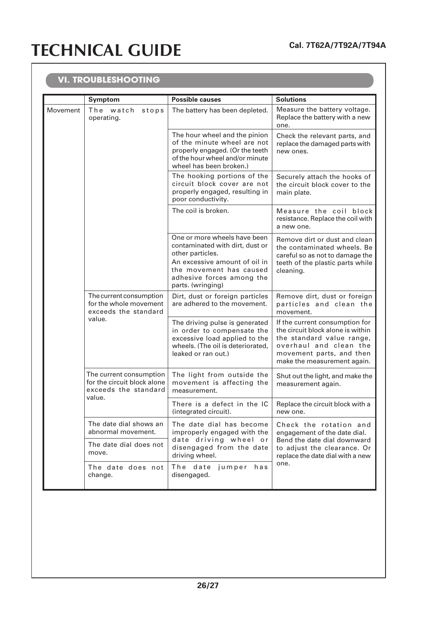### **VI. TROUBLESHOOTING**

|          | Symptom                                                                                  | <b>Possible causes</b>                                                                                                                                                                            | <b>Solutions</b>                                                                                                                                                                      |
|----------|------------------------------------------------------------------------------------------|---------------------------------------------------------------------------------------------------------------------------------------------------------------------------------------------------|---------------------------------------------------------------------------------------------------------------------------------------------------------------------------------------|
| Movement | The watch<br>stops<br>operating.                                                         | The battery has been depleted.                                                                                                                                                                    | Measure the battery voltage.<br>Replace the battery with a new<br>one.                                                                                                                |
|          |                                                                                          | The hour wheel and the pinion<br>of the minute wheel are not<br>properly engaged. (Or the teeth<br>of the hour wheel and/or minute<br>wheel has been broken.)                                     | Check the relevant parts, and<br>replace the damaged parts with<br>new ones.                                                                                                          |
|          |                                                                                          | The hooking portions of the<br>circuit block cover are not<br>properly engaged, resulting in<br>poor conductivity.                                                                                | Securely attach the hooks of<br>the circuit block cover to the<br>main plate.                                                                                                         |
|          |                                                                                          | The coil is broken.                                                                                                                                                                               | Measure the coil block<br>resistance. Replace the coil with<br>a new one.                                                                                                             |
|          |                                                                                          | One or more wheels have been<br>contaminated with dirt, dust or<br>other particles.<br>An excessive amount of oil in<br>the movement has caused<br>adhesive forces among the<br>parts. (wringing) | Remove dirt or dust and clean<br>the contaminated wheels. Be<br>careful so as not to damage the<br>teeth of the plastic parts while<br>cleaning.                                      |
|          | The current consumption<br>for the whole movement<br>exceeds the standard<br>value.      | Dirt, dust or foreign particles<br>are adhered to the movement.                                                                                                                                   | Remove dirt, dust or foreign<br>particles and clean the<br>movement.                                                                                                                  |
|          |                                                                                          | The driving pulse is generated<br>in order to compensate the<br>excessive load applied to the<br>wheels. (The oil is deteriorated,<br>leaked or ran out.)                                         | If the current consumption for<br>the circuit block alone is within<br>the standard value range,<br>overhaul and clean the<br>movement parts, and then<br>make the measurement again. |
|          | The current consumption<br>for the circuit block alone<br>exceeds the standard<br>value. | The light from outside the<br>movement is affecting the<br>measurement.                                                                                                                           | Shut out the light, and make the<br>measurement again.                                                                                                                                |
|          |                                                                                          | There is a defect in the IC<br>(integrated circuit).                                                                                                                                              | Replace the circuit block with a<br>new one.                                                                                                                                          |
|          | The date dial shows an<br>abnormal movement.                                             | The date dial has become<br>improperly engaged with the<br>date driving wheel or<br>disengaged from the date<br>driving wheel.                                                                    | Check the rotation and<br>engagement of the date dial.<br>Bend the date dial downward<br>to adjust the clearance. Or<br>replace the date dial with a new<br>one.                      |
|          | The date dial does not<br>move.                                                          |                                                                                                                                                                                                   |                                                                                                                                                                                       |
|          | The date does not<br>change.                                                             | The date<br>jumper<br>has<br>disengaged.                                                                                                                                                          |                                                                                                                                                                                       |